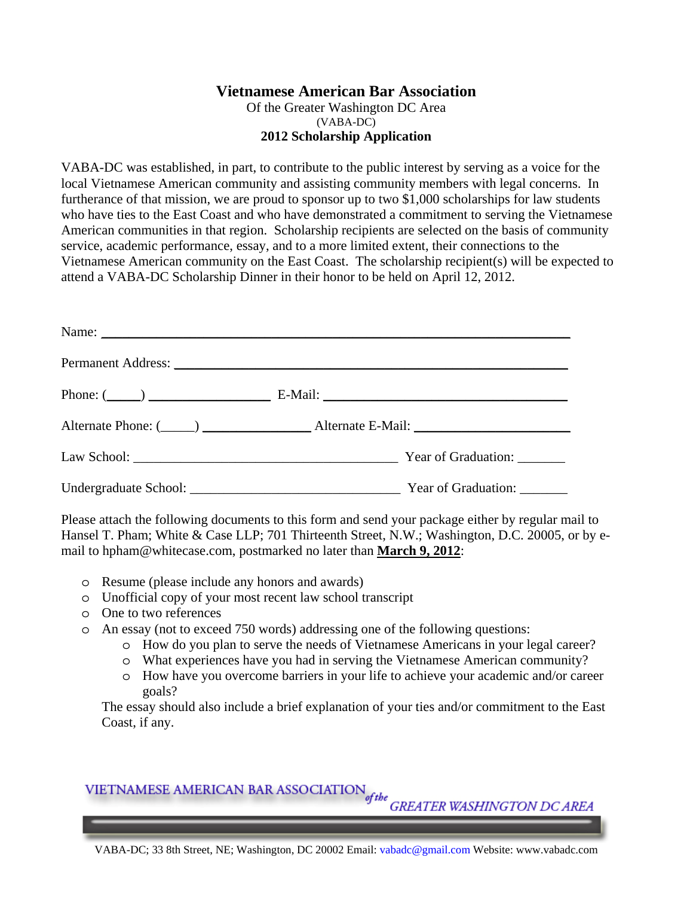## **Vietnamese American Bar Association**

Of the Greater Washington DC Area (VABA-DC) **2012 Scholarship Application** 

VABA-DC was established, in part, to contribute to the public interest by serving as a voice for the local Vietnamese American community and assisting community members with legal concerns. In furtherance of that mission, we are proud to sponsor up to two \$1,000 scholarships for law students who have ties to the East Coast and who have demonstrated a commitment to serving the Vietnamese American communities in that region. Scholarship recipients are selected on the basis of community service, academic performance, essay, and to a more limited extent, their connections to the Vietnamese American community on the East Coast. The scholarship recipient(s) will be expected to attend a VABA-DC Scholarship Dinner in their honor to be held on April 12, 2012.

| Alternate Phone: (Channel Alternate E-Mail: Channel Alternate E-Mail: |
|-----------------------------------------------------------------------|
|                                                                       |
|                                                                       |

Please attach the following documents to this form and send your package either by regular mail to Hansel T. Pham; White & Case LLP; 701 Thirteenth Street, N.W.; Washington, D.C. 20005, or by email to hpham@whitecase.com, postmarked no later than **March 9, 2012**:

- o Resume (please include any honors and awards)
- o Unofficial copy of your most recent law school transcript
- o One to two references
- o An essay (not to exceed 750 words) addressing one of the following questions:
	- o How do you plan to serve the needs of Vietnamese Americans in your legal career?
	- o What experiences have you had in serving the Vietnamese American community?
	- o How have you overcome barriers in your life to achieve your academic and/or career goals?

The essay should also include a brief explanation of your ties and/or commitment to the East Coast, if any.

## VIETNAMESE AMERICAN BAR ASSOCIATION  $_{\it{of\,the}\atop\it{GREATER\,WASHINGTON\,DC\,AREA}}$